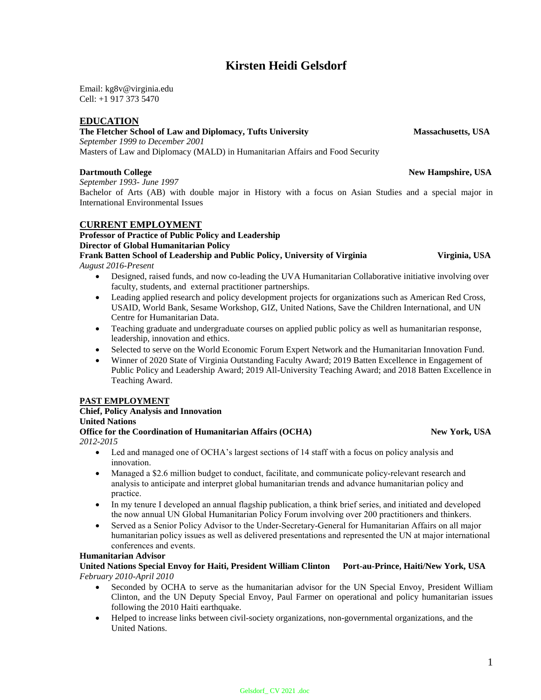# **Kirsten Heidi Gelsdorf**

Email: kg8v@virginia.edu Cell: +1 917 373 5470

### **EDUCATION**

# **The Fletcher School of Law and Diplomacy, Tufts University Massachusetts, USA**

*September 1999 to December 2001*

Masters of Law and Diplomacy (MALD) in Humanitarian Affairs and Food Security

#### **Dartmouth College New Hampshire, USA**

*September 1993- June 1997* Bachelor of Arts (AB) with double major in History with a focus on Asian Studies and a special major in International Environmental Issues

#### **CURRENT EMPLOYMENT**

# **Professor of Practice of Public Policy and Leadership Director of Global Humanitarian Policy Frank Batten School of Leadership and Public Policy, University of Virginia Virginia, USA**

*August 2016-Present*

- Designed, raised funds, and now co-leading the UVA Humanitarian Collaborative initiative involving over faculty, students, and external practitioner partnerships.
- Leading applied research and policy development projects for organizations such as American Red Cross, USAID, World Bank, Sesame Workshop, GIZ, United Nations, Save the Children International, and UN Centre for Humanitarian Data.
- Teaching graduate and undergraduate courses on applied public policy as well as humanitarian response, leadership, innovation and ethics.
- Selected to serve on the World Economic Forum Expert Network and the Humanitarian Innovation Fund.
- Winner of 2020 State of Virginia Outstanding Faculty Award; 2019 Batten Excellence in Engagement of Public Policy and Leadership Award; 2019 All-University Teaching Award; and 2018 Batten Excellence in Teaching Award.

#### **PAST EMPLOYMENT**

#### **Chief, Policy Analysis and Innovation United Nations Office for the Coordination of Humanitarian Affairs (OCHA)** New York, USA *2012-2015*

- Led and managed one of OCHA's largest sections of 14 staff with a focus on policy analysis and innovation.
- Managed a \$2.6 million budget to conduct, facilitate, and communicate policy-relevant research and analysis to anticipate and interpret global humanitarian trends and advance humanitarian policy and practice.
- In my tenure I developed an annual flagship publication, a think brief series, and initiated and developed the now annual UN Global Humanitarian Policy Forum involving over 200 practitioners and thinkers.
- Served as a Senior Policy Advisor to the Under-Secretary-General for Humanitarian Affairs on all major humanitarian policy issues as well as delivered presentations and represented the UN at major international conferences and events.

#### **Humanitarian Advisor**

#### **United Nations Special Envoy for Haiti, President William Clinton Port-au-Prince, Haiti/New York, USA** *February 2010-April 2010*

- Seconded by OCHA to serve as the humanitarian advisor for the UN Special Envoy, President William Clinton, and the UN Deputy Special Envoy, Paul Farmer on operational and policy humanitarian issues following the 2010 Haiti earthquake.
- Helped to increase links between civil-society organizations, non-governmental organizations, and the United Nations.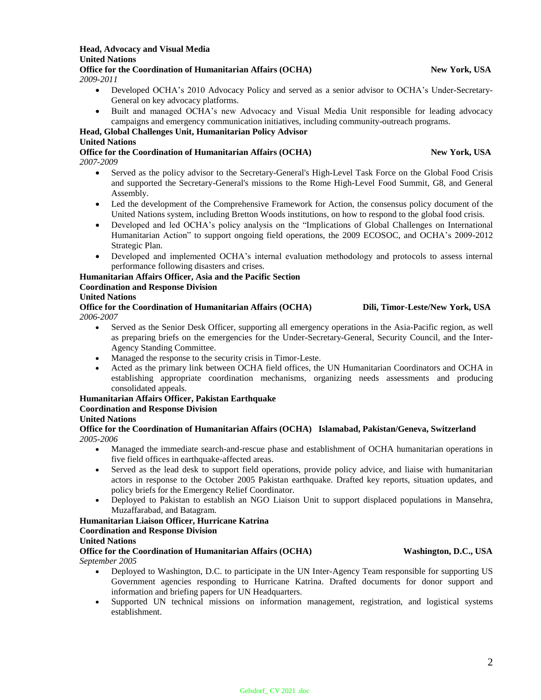#### **Head, Advocacy and Visual Media United Nations** Office for the Coordination of Humanitarian Affairs (OCHA) New York, USA

*2009-2011*

- Developed OCHA's 2010 Advocacy Policy and served as a senior advisor to OCHA's Under-Secretary-General on key advocacy platforms.
- Built and managed OCHA's new Advocacy and Visual Media Unit responsible for leading advocacy campaigns and emergency communication initiatives, including community-outreach programs.

#### **Head, Global Challenges Unit, Humanitarian Policy Advisor**

#### **United Nations**

**Office for the Coordination of Humanitarian Affairs (OCHA)** New York, USA *2007-2009*

- Served as the policy advisor to the Secretary-General's High-Level Task Force on the Global Food Crisis and supported the Secretary-General's missions to the Rome High-Level Food Summit, G8, and General Assembly.
- Led the development of the Comprehensive Framework for Action, the consensus policy document of the United Nations system, including Bretton Woods institutions, on how to respond to the global food crisis.
- Developed and led OCHA's policy analysis on the "Implications of Global Challenges on International Humanitarian Action" to support ongoing field operations, the 2009 ECOSOC, and OCHA's 2009-2012 Strategic Plan.
- Developed and implemented OCHA's internal evaluation methodology and protocols to assess internal performance following disasters and crises.

# **Humanitarian Affairs Officer, Asia and the Pacific Section**

### **Coordination and Response Division**

#### **United Nations**

**Office for the Coordination of Humanitarian Affairs (OCHA) Dili, Timor-Leste/New York, USA** *2006-2007*

- Served as the Senior Desk Officer, supporting all emergency operations in the Asia-Pacific region, as well as preparing briefs on the emergencies for the Under-Secretary-General, Security Council, and the Inter-Agency Standing Committee.
- Managed the response to the security crisis in Timor-Leste.
- Acted as the primary link between OCHA field offices, the UN Humanitarian Coordinators and OCHA in establishing appropriate coordination mechanisms, organizing needs assessments and producing consolidated appeals.

### **Humanitarian Affairs Officer, Pakistan Earthquake**

### **Coordination and Response Division**

### **United Nations**

**Office for the Coordination of Humanitarian Affairs (OCHA) Islamabad, Pakistan/Geneva, Switzerland** *2005-2006*

- Managed the immediate search-and-rescue phase and establishment of OCHA humanitarian operations in five field offices in earthquake-affected areas.
- Served as the lead desk to support field operations, provide policy advice, and liaise with humanitarian actors in response to the October 2005 Pakistan earthquake. Drafted key reports, situation updates, and policy briefs for the Emergency Relief Coordinator.
- Deployed to Pakistan to establish an NGO Liaison Unit to support displaced populations in Mansehra, Muzaffarabad, and Batagram.

### **Humanitarian Liaison Officer, Hurricane Katrina**

#### **Coordination and Response Division**

#### **United Nations**

#### **Office for the Coordination of Humanitarian Affairs (OCHA) Washington, D.C., USA** *September 2005*

- Deployed to Washington, D.C. to participate in the UN Inter-Agency Team responsible for supporting US Government agencies responding to Hurricane Katrina. Drafted documents for donor support and information and briefing papers for UN Headquarters.
- Supported UN technical missions on information management, registration, and logistical systems establishment.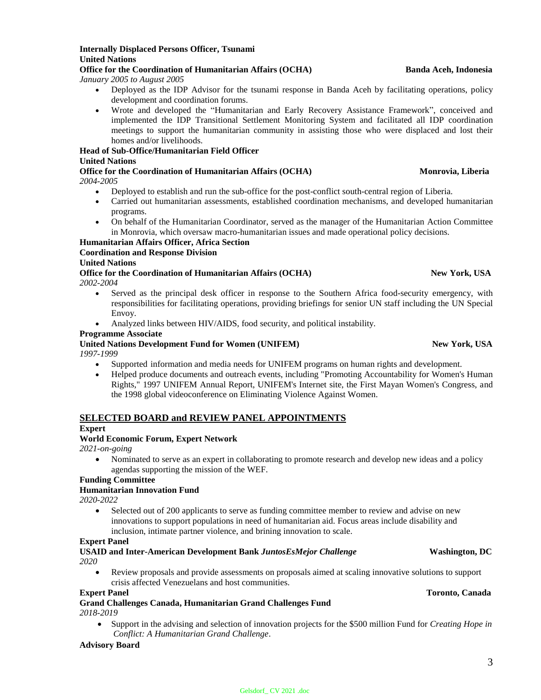**Internally Displaced Persons Officer, Tsunami United Nations**

*January 2005 to August 2005*

- Deployed as the IDP Advisor for the tsunami response in Banda Aceh by facilitating operations, policy development and coordination forums.
- Wrote and developed the "Humanitarian and Early Recovery Assistance Framework", conceived and implemented the IDP Transitional Settlement Monitoring System and facilitated all IDP coordination meetings to support the humanitarian community in assisting those who were displaced and lost their homes and/or livelihoods.

**Head of Sub-Office/Humanitarian Field Officer United Nations**

**Office for the Coordination of Humanitarian Affairs (OCHA)** Monrovia, Liberia *2004-2005*

- Deployed to establish and run the sub-office for the post-conflict south-central region of Liberia.
- Carried out humanitarian assessments, established coordination mechanisms, and developed humanitarian programs.
- On behalf of the Humanitarian Coordinator, served as the manager of the Humanitarian Action Committee in Monrovia, which oversaw macro-humanitarian issues and made operational policy decisions.

# **Humanitarian Affairs Officer, Africa Section**

# **Coordination and Response Division**

# **United Nations**

**Office for the Coordination of Humanitarian Affairs (OCHA)** New York, USA *2002-2004*

- Served as the principal desk officer in response to the Southern Africa food-security emergency, with responsibilities for facilitating operations, providing briefings for senior UN staff including the UN Special Envoy.
- Analyzed links between HIV/AIDS, food security, and political instability.

#### **Programme Associate**

# United Nations Development Fund for Women (UNIFEM) New York, USA

*1997-1999*

- Supported information and media needs for UNIFEM programs on human rights and development.
- Helped produce documents and outreach events, including "Promoting Accountability for Women's Human Rights," 1997 UNIFEM Annual Report, UNIFEM's Internet site, the First Mayan Women's Congress, and the 1998 global videoconference on Eliminating Violence Against Women.

### **SELECTED BOARD and REVIEW PANEL APPOINTMENTS**

#### **Expert**

#### **World Economic Forum, Expert Network**

*2021-on-going*

 Nominated to serve as an expert in collaborating to promote research and develop new ideas and a policy agendas supporting the mission of the WEF.

**Funding Committee**

#### **Humanitarian Innovation Fund**

*2020-2022*

 Selected out of 200 applicants to serve as funding committee member to review and advise on new innovations to support populations in need of humanitarian aid. Focus areas include disability and inclusion, intimate partner violence, and brining innovation to scale.

#### **Expert Panel**

**USAID and Inter-American Development Bank** *JuntosEsMejor Challenge* **Washington, DC** *2020*

 Review proposals and provide assessments on proposals aimed at scaling innovative solutions to support crisis affected Venezuelans and host communities.

#### **Expert Panel Toronto, Canada** Toronto, Canada Toronto, Canada Toronto, Canada Toronto, Canada Toronto, Canada

**Grand Challenges Canada, Humanitarian Grand Challenges Fund** *2018-2019*

 Support in the advising and selection of innovation projects for the \$500 million Fund for *Creating Hope in Conflict: A Humanitarian Grand Challenge*.

#### **Advisory Board**

#### **Office for the Coordination of Humanitarian Affairs (OCHA) Banda Aceh, Indonesia**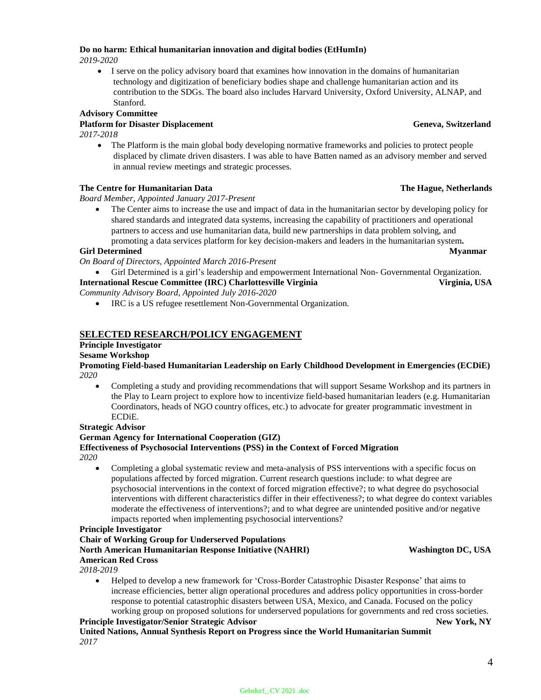# **Do no harm: Ethical humanitarian innovation and digital bodies (EtHumIn)**

*2019-2020*

 I serve on the policy advisory board that examines how innovation in the domains of humanitarian technology and digitization of beneficiary bodies shape and challenge humanitarian action and its contribution to the SDGs. The board also includes Harvard University, Oxford University, ALNAP, and Stanford.

#### **Advisory Committee**

#### **Platform for Disaster Displacement Geneva, Switzerland**

*2017-2018*

• The Platform is the main global body developing normative frameworks and policies to protect people displaced by climate driven disasters. I was able to have Batten named as an advisory member and served in annual review meetings and strategic processes.

#### **The Centre for Humanitarian Data The Hague, Netherlands** The Hague, Netherlands

*Board Member, Appointed January 2017-Present*

• The Center aims to increase the use and impact of data in the humanitarian sector by developing policy for shared standards and integrated data systems, increasing the capability of practitioners and operational partners to access and use humanitarian data, build new partnerships in data problem solving, and promoting a data services platform for key decision-makers and leaders in the humanitarian system**. Girl Determined Myanmar** 

*On Board of Directors, Appointed March 2016-Present*

 Girl Determined is a girl's leadership and empowerment International Non- Governmental Organization. **International Rescue Committee (IRC) Charlottesville Virginia Virginia, USA**

*Community Advisory Board, Appointed July 2016-2020*

IRC is a US refugee resettlement Non-Governmental Organization.

### **SELECTED RESEARCH/POLICY ENGAGEMENT**

### **Principle Investigator**

**Sesame Workshop**

**Promoting Field-based Humanitarian Leadership on Early Childhood Development in Emergencies (ECDiE)** *2020*

 Completing a study and providing recommendations that will support Sesame Workshop and its partners in the Play to Learn project to explore how to incentivize field-based humanitarian leaders (e.g. Humanitarian Coordinators, heads of NGO country offices, etc.) to advocate for greater programmatic investment in ECDiE.

#### **Strategic Advisor**

#### **German Agency for International Cooperation (GIZ)**

**Effectiveness of Psychosocial Interventions (PSS) in the Context of Forced Migration** *2020*

 Completing a global systematic review and meta-analysis of PSS interventions with a specific focus on populations affected by forced migration. Current research questions include: to what degree are psychosocial interventions in the context of forced migration effective?; to what degree do psychosocial interventions with different characteristics differ in their effectiveness?; to what degree do context variables moderate the effectiveness of interventions?; and to what degree are unintended positive and/or negative impacts reported when implementing psychosocial interventions?

#### **Principle Investigator**

### **Chair of Working Group for Underserved Populations**

**North American Humanitarian Response Initiative (NAHRI) Washington DC, USA American Red Cross**

*2018-2019*

 Helped to develop a new framework for 'Cross-Border Catastrophic Disaster Response' that aims to increase efficiencies, better align operational procedures and address policy opportunities in cross-border response to potential catastrophic disasters between USA, Mexico, and Canada. Focused on the policy working group on proposed solutions for underserved populations for governments and red cross societies. **Principle Investigator/Senior Strategic Advisor New York, NY** New York, NY

**United Nations, Annual Synthesis Report on Progress since the World Humanitarian Summit** *2017*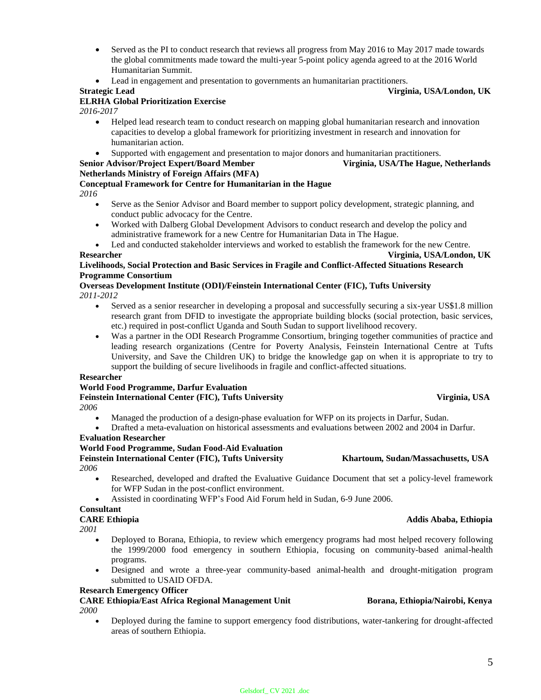- Served as the PI to conduct research that reviews all progress from May 2016 to May 2017 made towards the global commitments made toward the multi-year 5-point policy agenda agreed to at the 2016 World Humanitarian Summit.
- Lead in engagement and presentation to governments an humanitarian practitioners.

#### **Strategic Lead Virginia, USA/London, UK**

#### **ELRHA Global Prioritization Exercise**

*2016-2017*

- Helped lead research team to conduct research on mapping global humanitarian research and innovation capacities to develop a global framework for prioritizing investment in research and innovation for humanitarian action.
- Supported with engagement and presentation to major donors and humanitarian practitioners.

#### **Senior Advisor/Project Expert/Board Member Virginia, USA/The Hague, Netherlands Netherlands Ministry of Foreign Affairs (MFA)**

#### **Conceptual Framework for Centre for Humanitarian in the Hague**

*2016*

- Serve as the Senior Advisor and Board member to support policy development, strategic planning, and conduct public advocacy for the Centre.
- Worked with Dalberg Global Development Advisors to conduct research and develop the policy and administrative framework for a new Centre for Humanitarian Data in The Hague.

 Led and conducted stakeholder interviews and worked to establish the framework for the new Centre. **Researcher Virginia, USA/London, UK**

#### **Livelihoods, Social Protection and Basic Services in Fragile and Conflict-Affected Situations Research Programme Consortium**

#### **Overseas Development Institute (ODI)/Feinstein International Center (FIC), Tufts University** *2011-2012*

- - Served as a senior researcher in developing a proposal and successfully securing a six-year US\$1.8 million research grant from DFID to investigate the appropriate building blocks (social protection, basic services, etc.) required in post-conflict Uganda and South Sudan to support livelihood recovery.
	- Was a partner in the ODI Research Programme Consortium, bringing together communities of practice and leading research organizations (Centre for Poverty Analysis, Feinstein International Centre at Tufts University, and Save the Children UK) to bridge the knowledge gap on when it is appropriate to try to support the building of secure livelihoods in fragile and conflict-affected situations.

#### **Researcher**

### **World Food Programme, Darfur Evaluation**

**Feinstein International Center (FIC), Tufts University Virginia, USA**

- *2006*
	- Managed the production of a design-phase evaluation for WFP on its projects in Darfur, Sudan.
	- Drafted a meta-evaluation on historical assessments and evaluations between 2002 and 2004 in Darfur.

#### **Evaluation Researcher**

#### **World Food Programme, Sudan Food-Aid Evaluation Feinstein International Center (FIC), Tufts University Khartoum, Sudan/Massachusetts, USA**

*2006*

- Researched, developed and drafted the Evaluative Guidance Document that set a policy-level framework for WFP Sudan in the post-conflict environment.
- Assisted in coordinating WFP's Food Aid Forum held in Sudan, 6-9 June 2006.

# **Consultant**

# **CARE Ethiopia Addis Ababa, Ethiopia**

*2001*

- Deployed to Borana, Ethiopia, to review which emergency programs had most helped recovery following the 1999/2000 food emergency in southern Ethiopia, focusing on community-based animal-health programs.
- Designed and wrote a three-year community-based animal-health and drought-mitigation program submitted to USAID OFDA.

#### **Research Emergency Officer**

## **CARE Ethiopia/East Africa Regional Management Unit Borana, Ethiopia/Nairobi, Kenya**

*2000*

 Deployed during the famine to support emergency food distributions, water-tankering for drought-affected areas of southern Ethiopia.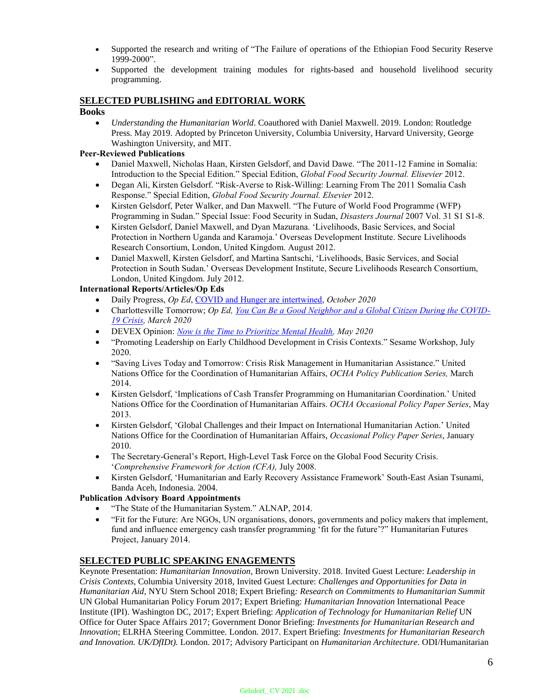- Supported the research and writing of "The Failure of operations of the Ethiopian Food Security Reserve 1999-2000".
- Supported the development training modules for rights-based and household livelihood security programming.

#### **SELECTED PUBLISHING and EDITORIAL WORK**

#### **Books**

 *Understanding the Humanitarian World*. Coauthored with Daniel Maxwell. 2019. London: Routledge Press. May 2019. Adopted by Princeton University, Columbia University, Harvard University, George Washington University, and MIT.

#### **Peer-Reviewed Publications**

- Daniel Maxwell, Nicholas Haan, Kirsten Gelsdorf, and David Dawe. "The 2011-12 Famine in Somalia: Introduction to the Special Edition." Special Edition, *Global Food Security Journal. Elisevier* 2012.
- Degan Ali, Kirsten Gelsdorf. "Risk-Averse to Risk-Willing: Learning From The 2011 Somalia Cash Response." Special Edition, *Global Food Security Journal. Elsevier* 2012.
- Kirsten Gelsdorf, Peter Walker, and Dan Maxwell. "[The Future of World Food Programme \(WFP\)](http://sites.tufts.edu/feinstein/2007/the-future-of-world-food-programme-wfp-programming-in-sudan)  [Programming in Sudan](http://sites.tufts.edu/feinstein/2007/the-future-of-world-food-programme-wfp-programming-in-sudan)." Special Issue: Food Security in Sudan, *Disasters Journal* 2007 Vol. 31 S1 S1-8.
- Kirsten Gelsdorf, Daniel Maxwell, and Dyan Mazurana. 'Livelihoods, Basic Services, and Social Protection in Northern Uganda and Karamoja.' Overseas Development Institute. Secure Livelihoods Research Consortium, London, United Kingdom. August 2012.
- Daniel Maxwell, Kirsten Gelsdorf, and Martina Santschi, 'Livelihoods, Basic Services, and Social Protection in South Sudan.' Overseas Development Institute, Secure Livelihoods Research Consortium, London, United Kingdom. July 2012.

#### **International Reports/Articles/Op Eds**

- Daily Progress, *Op Ed*, [COVID and Hunger are intertwined,](https://dailyprogress.com/opinion/columnists/opinion-commentary-covid-hunger-are-intertwined/article_c7c76244-13ab-11eb-b6fc-6f36e60e53d9.html) *October 2020*
- Charlottesville Tomorrow; *Op Ed, You Can Be [a Good Neighbor and a Global Citizen During the COVID-](https://www.cvilletomorrow.org/articles/community-commentary-opinion-you-can-be-a-good-neighbor-and-a-global-citizen-during-the-covid-19-crisis/?fbclid=IwAR0XesBkP4J4Vc6QqYfJ5qEL4AApcsRgpLODJnpwrXvS84D9KEVDIviAang)[19 Crisis,](https://www.cvilletomorrow.org/articles/community-commentary-opinion-you-can-be-a-good-neighbor-and-a-global-citizen-during-the-covid-19-crisis/?fbclid=IwAR0XesBkP4J4Vc6QqYfJ5qEL4AApcsRgpLODJnpwrXvS84D9KEVDIviAang) March 2020*
- DEVEX Opinion: *Now is the Time to Prioritize Mental Health, May 2020*
- "Promoting Leadership on Early Childhood Development in Crisis Contexts." Sesame Workshop, July 2020.
- "Saving Lives Today and Tomorrow: Crisis Risk Management in Humanitarian Assistance." United Nations Office for the Coordination of Humanitarian Affairs, *OCHA Policy Publication Series,* March 2014.
- Kirsten Gelsdorf, 'Implications of Cash Transfer Programming on Humanitarian Coordination.' United Nations Office for the Coordination of Humanitarian Affairs. *OCHA Occasional Policy Paper Series*, May 2013.
- Kirsten Gelsdorf, 'Global Challenges and their Impact on International Humanitarian Action.' United Nations Office for the Coordination of Humanitarian Affairs, *Occasional Policy Paper Series*, January 2010.
- The Secretary-General's Report, High-Level Task Force on the Global Food Security Crisis. '*Comprehensive Framework for Action (CFA),* July 2008.
- Kirsten Gelsdorf, 'Humanitarian and Early Recovery Assistance Framework' South-East Asian Tsunami, Banda Aceh, Indonesia. 2004.

#### **Publication Advisory Board Appointments**

- "The State of the Humanitarian System." ALNAP, 2014.
- "Fit for the Future: Are NGOs, UN organisations, donors, governments and policy makers that implement, fund and influence emergency cash transfer programming 'fit for the future'?" Humanitarian Futures Project, January 2014.

### **SELECTED PUBLIC SPEAKING ENAGEMENTS**

Keynote Presentation: *Humanitarian Innovation*, Brown University. 2018. Invited Guest Lecture: *Leadership in Crisis Contexts*, Columbia University 2018, Invited Guest Lecture: *Challenges and Opportunities for Data in Humanitarian Aid*, NYU Stern School 2018; Expert Briefing*: Research on Commitments to Humanitarian Summit*  UN Global Humanitarian Policy Forum 2017; Expert Briefing: *Humanitarian Innovation* International Peace Institute (IPI). Washington DC, 2017; Expert Briefing: *Application of Technology for Humanitarian Relief* UN Office for Outer Space Affairs 2017; Government Donor Briefing: *Investments for Humanitarian Research and Innovation*; ELRHA Steering Committee. London. 2017. Expert Briefing: *Investments for Humanitarian Research and Innovation. UK/DfIDt).* London. 2017; Advisory Participant on *Humanitarian Architecture*. ODI/Humanitarian